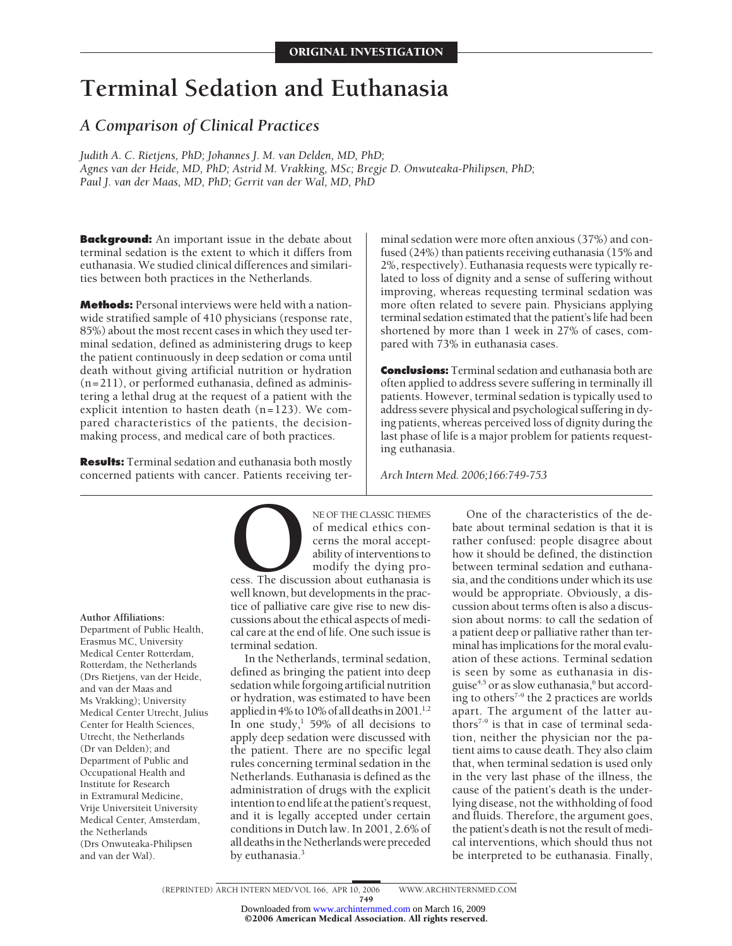# **Terminal Sedation and Euthanasia**

# *A Comparison of Clinical Practices*

*Judith A. C. Rietjens, PhD; Johannes J. M. van Delden, MD, PhD; Agnes van der Heide, MD, PhD; Astrid M. Vrakking, MSc; Bregje D. Onwuteaka-Philipsen, PhD; Paul J. van der Maas, MD, PhD; Gerrit van der Wal, MD, PhD*

**Background:** An important issue in the debate about terminal sedation is the extent to which it differs from euthanasia. We studied clinical differences and similarities between both practices in the Netherlands.

**Methods:** Personal interviews were held with a nationwide stratified sample of 410 physicians (response rate, 85%) about the most recent cases in which they used terminal sedation, defined as administering drugs to keep the patient continuously in deep sedation or coma until death without giving artificial nutrition or hydration (n=211), or performed euthanasia, defined as administering a lethal drug at the request of a patient with the explicit intention to hasten death (n=123). We compared characteristics of the patients, the decisionmaking process, and medical care of both practices.

**Results:** Terminal sedation and euthanasia both mostly concerned patients with cancer. Patients receiving terminal sedation were more often anxious (37%) and confused (24%) than patients receiving euthanasia (15% and 2%, respectively). Euthanasia requests were typically related to loss of dignity and a sense of suffering without improving, whereas requesting terminal sedation was more often related to severe pain. Physicians applying terminal sedation estimated that the patient's life had been shortened by more than 1 week in 27% of cases, compared with 73% in euthanasia cases.

**Conclusions:** Terminal sedation and euthanasia both are often applied to address severe suffering in terminally ill patients. However, terminal sedation is typically used to address severe physical and psychological suffering in dying patients, whereas perceived loss of dignity during the last phase of life is a major problem for patients requesting euthanasia.

*Arch Intern Med. 2006;166:749-753*

**Author Affiliations:**

Department of Public Health, Erasmus MC, University Medical Center Rotterdam, Rotterdam, the Netherlands (Drs Rietjens, van der Heide, and van der Maas and Ms Vrakking); University Medical Center Utrecht, Julius Center for Health Sciences, Utrecht, the Netherlands (Dr van Delden); and Department of Public and Occupational Health and Institute for Research in Extramural Medicine, Vrije Universiteit University Medical Center, Amsterdam, the Netherlands (Drs Onwuteaka-Philipsen and van der Wal).

NE OF THE CLASSIC THEMES<br>
of medical ethics con-<br>
cerns the moral accept-<br>
ability of interventions to<br>
modify the dying pro-<br>
well known, but developments in the pracof medical ethics concerns the moral acceptability of interventions to modify the dying pro-

cess. The discussion about euthanasia is tice of palliative care give rise to new discussions about the ethical aspects of medical care at the end of life. One such issue is terminal sedation.

In the Netherlands, terminal sedation, defined as bringing the patient into deep sedation while forgoing artificial nutrition or hydration, was estimated to have been applied in 4% to 10% of all deaths in 2001.<sup>1,2</sup> In one study, $\frac{1}{1}$  59% of all decisions to apply deep sedation were discussed with the patient. There are no specific legal rules concerning terminal sedation in the Netherlands. Euthanasia is defined as the administration of drugs with the explicit intention to end life at the patient's request, and it is legally accepted under certain conditions in Dutch law. In 2001, 2.6% of all deaths in the Netherlands were preceded by euthanasia.<sup>3</sup>

One of the characteristics of the debate about terminal sedation is that it is rather confused: people disagree about how it should be defined, the distinction between terminal sedation and euthanasia, and the conditions under which its use would be appropriate. Obviously, a discussion about terms often is also a discussion about norms: to call the sedation of a patient deep or palliative rather than terminal has implications for the moral evaluation of these actions. Terminal sedation is seen by some as euthanasia in disguise<sup>4,5</sup> or as slow euthanasia, $^6$  but according to others<sup> $7-9$ </sup> the 2 practices are worlds apart. The argument of the latter authors<sup> $7-9$ </sup> is that in case of terminal sedation, neither the physician nor the patient aims to cause death. They also claim that, when terminal sedation is used only in the very last phase of the illness, the cause of the patient's death is the underlying disease, not the withholding of food and fluids. Therefore, the argument goes, the patient's death is not the result of medical interventions, which should thus not be interpreted to be euthanasia. Finally,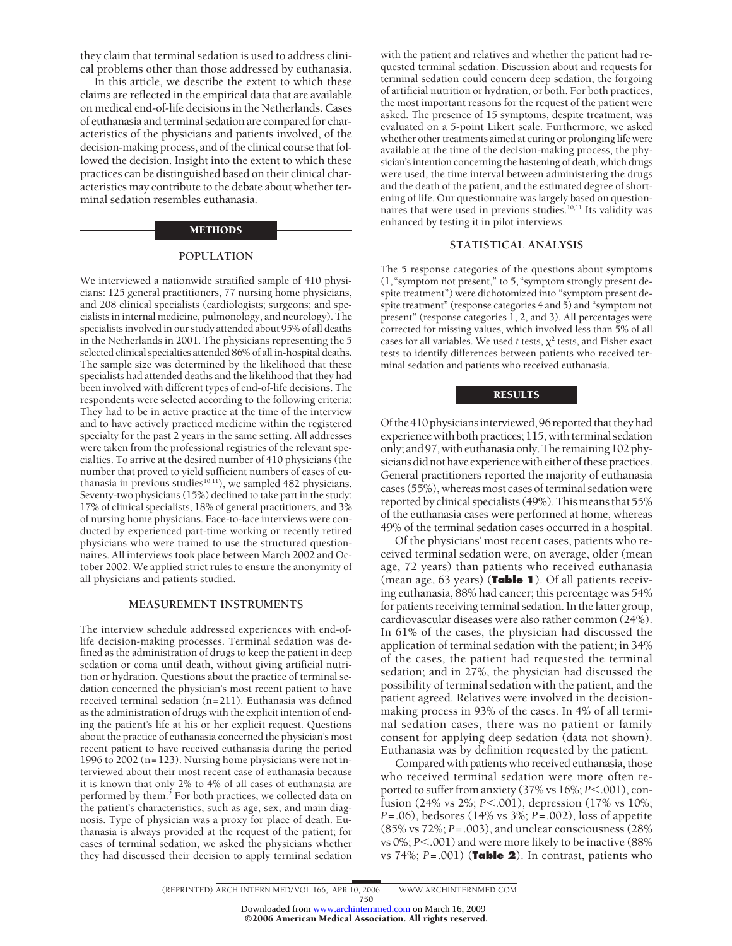they claim that terminal sedation is used to address clinical problems other than those addressed by euthanasia.

In this article, we describe the extent to which these claims are reflected in the empirical data that are available on medical end-of-life decisions in the Netherlands. Cases of euthanasia and terminal sedation are compared for characteristics of the physicians and patients involved, of the decision-making process, and of the clinical course that followed the decision. Insight into the extent to which these practices can be distinguished based on their clinical characteristics may contribute to the debate about whether terminal sedation resembles euthanasia.

#### METHODS

## **POPULATION**

We interviewed a nationwide stratified sample of 410 physicians: 125 general practitioners, 77 nursing home physicians, and 208 clinical specialists (cardiologists; surgeons; and specialists in internal medicine, pulmonology, and neurology). The specialists involved in our study attended about 95% of all deaths in the Netherlands in 2001. The physicians representing the 5 selected clinical specialties attended 86% of all in-hospital deaths. The sample size was determined by the likelihood that these specialists had attended deaths and the likelihood that they had been involved with different types of end-of-life decisions. The respondents were selected according to the following criteria: They had to be in active practice at the time of the interview and to have actively practiced medicine within the registered specialty for the past 2 years in the same setting. All addresses were taken from the professional registries of the relevant specialties. To arrive at the desired number of 410 physicians (the number that proved to yield sufficient numbers of cases of euthanasia in previous studies $10,11$ ), we sampled 482 physicians. Seventy-two physicians (15%) declined to take part in the study: 17% of clinical specialists, 18% of general practitioners, and 3% of nursing home physicians. Face-to-face interviews were conducted by experienced part-time working or recently retired physicians who were trained to use the structured questionnaires. All interviews took place between March 2002 and October 2002. We applied strict rules to ensure the anonymity of all physicians and patients studied.

#### **MEASUREMENT INSTRUMENTS**

The interview schedule addressed experiences with end-oflife decision-making processes. Terminal sedation was defined as the administration of drugs to keep the patient in deep sedation or coma until death, without giving artificial nutrition or hydration. Questions about the practice of terminal sedation concerned the physician's most recent patient to have received terminal sedation (n=211). Euthanasia was defined as the administration of drugs with the explicit intention of ending the patient's life at his or her explicit request. Questions about the practice of euthanasia concerned the physician's most recent patient to have received euthanasia during the period 1996 to 2002 (n=123). Nursing home physicians were not interviewed about their most recent case of euthanasia because it is known that only 2% to 4% of all cases of euthanasia are performed by them. $^2$  For both practices, we collected data on the patient's characteristics, such as age, sex, and main diagnosis. Type of physician was a proxy for place of death. Euthanasia is always provided at the request of the patient; for cases of terminal sedation, we asked the physicians whether they had discussed their decision to apply terminal sedation with the patient and relatives and whether the patient had requested terminal sedation. Discussion about and requests for terminal sedation could concern deep sedation, the forgoing of artificial nutrition or hydration, or both. For both practices, the most important reasons for the request of the patient were asked. The presence of 15 symptoms, despite treatment, was evaluated on a 5-point Likert scale. Furthermore, we asked whether other treatments aimed at curing or prolonging life were available at the time of the decision-making process, the physician's intention concerning the hastening of death, which drugs were used, the time interval between administering the drugs and the death of the patient, and the estimated degree of shortening of life. Our questionnaire was largely based on questionnaires that were used in previous studies.10,11 Its validity was enhanced by testing it in pilot interviews.

#### **STATISTICAL ANALYSIS**

The 5 response categories of the questions about symptoms (1,"symptom not present," to 5,"symptom strongly present despite treatment") were dichotomized into "symptom present despite treatment" (response categories 4 and 5) and "symptom not present" (response categories 1, 2, and 3). All percentages were corrected for missing values, which involved less than 5% of all cases for all variables. We used  $t$  tests,  $\chi^2$  tests, and Fisher exact tests to identify differences between patients who received terminal sedation and patients who received euthanasia.

#### RESULTS

Of the 410 physiciansinterviewed, 96 reported that theyhad experience with both practices; 115, with terminal sedation only; and 97,with euthanasia only.The remaining 102 physicians did not have experience with either of these practices. General practitioners reported the majority of euthanasia cases (55%), whereas most cases of terminal sedation were reported by clinical specialists (49%). Thismeans that 55% of the euthanasia cases were performed at home, whereas 49% of the terminal sedation cases occurred in a hospital.

Of the physicians' most recent cases, patients who received terminal sedation were, on average, older (mean age, 72 years) than patients who received euthanasia (mean age, 63 years) (**Table 1**). Of all patients receiving euthanasia, 88% had cancer; this percentage was 54% for patients receiving terminal sedation. In the latter group, cardiovascular diseases were also rather common (24%). In 61% of the cases, the physician had discussed the application of terminal sedation with the patient; in 34% of the cases, the patient had requested the terminal sedation; and in 27%, the physician had discussed the possibility of terminal sedation with the patient, and the patient agreed. Relatives were involved in the decisionmaking process in 93% of the cases. In 4% of all terminal sedation cases, there was no patient or family consent for applying deep sedation (data not shown). Euthanasia was by definition requested by the patient.

Compared with patients who received euthanasia, those who received terminal sedation were more often reported to suffer from anxiety (37% vs 16%; *P*<.001), confusion (24% vs 2%; *P*-.001), depression (17% vs 10%; *P*=.06), bedsores (14% vs 3%; *P*=.002), loss of appetite (85% vs 72%; *P*=.003), and unclear consciousness (28% vs 0%; *P*<.001) and were more likely to be inactive (88% vs 74%; *P*=.001) (**Table 2**). In contrast, patients who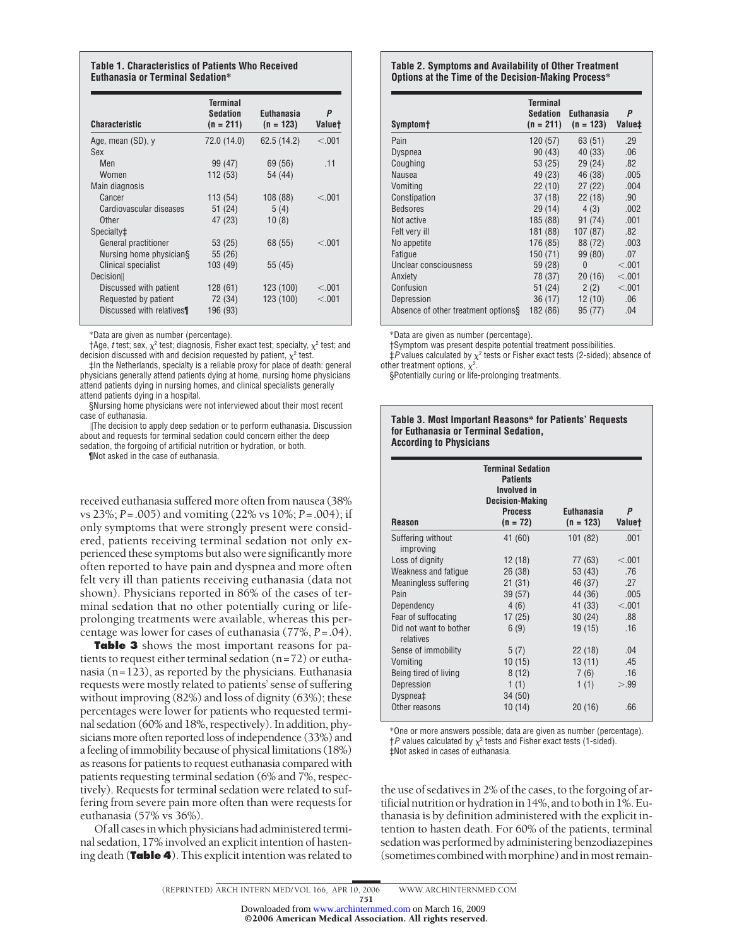#### **Table 1. Characteristics of Patients Who Received Euthanasia or Terminal Sedation\***

| <b>Terminal</b><br><b>Sedation</b><br>$(n = 211)$ | <b>Euthanasia</b><br>$(n = 123)$ | Ρ<br><b>Valuet</b> |
|---------------------------------------------------|----------------------------------|--------------------|
| 72.0 (14.0)                                       | 62.5 (14.2)                      | < 0.001            |
|                                                   |                                  |                    |
| 99 (47)                                           | 69 (56)                          | .11                |
| 112 (53)                                          | 54 (44)                          |                    |
|                                                   |                                  |                    |
| 113 (54)                                          | 108 (88)                         | < 0.01             |
| 51 (24)                                           | 5(4)                             |                    |
| 47 (23)                                           | 10(8)                            |                    |
|                                                   |                                  |                    |
| 53 (25)                                           | 68 (55)                          | < 0.01             |
| 55 (26)                                           |                                  |                    |
| 103 (49)                                          | 55 (45)                          |                    |
|                                                   |                                  |                    |
| 128 (61)                                          | 123 (100)                        | < 0.01             |
|                                                   |                                  | < 0.01             |
| 196 (93)                                          |                                  |                    |
|                                                   | 72 (34)                          | 123 (100)          |

\*Data are given as number (percentage).

 $\dagger$ Age, *t* test; sex,  $\chi^2$  test; diagnosis, Fisher exact test; specialty,  $\chi^2$  test; and decision discussed with and decision requested by patient,  $\chi^2$  test.

‡In the Netherlands, specialty is a reliable proxy for place of death: general physicians generally attend patients dying at home, nursing home physicians attend patients dying in nursing homes, and clinical specialists generally attend patients dying in a hospital.

§Nursing home physicians were not interviewed about their most recent case of euthanasia.

The decision to apply deep sedation or to perform euthanasia. Discussion about and requests for terminal sedation could concern either the deep sedation, the forgoing of artificial nutrition or hydration, or both.

¶Not asked in the case of euthanasia.

received euthanasia suffered more often from nausea (38% vs 23%; *P*=.005) and vomiting (22% vs 10%; *P*=.004); if only symptoms that were strongly present were considered, patients receiving terminal sedation not only experienced these symptoms but also were significantly more often reported to have pain and dyspnea and more often felt very ill than patients receiving euthanasia (data not shown). Physicians reported in 86% of the cases of terminal sedation that no other potentially curing or lifeprolonging treatments were available, whereas this percentage was lower for cases of euthanasia (77%, *P*=.04).

**Table 3** shows the most important reasons for patients to request either terminal sedation (n=72) or euthanasia (n=123), as reported by the physicians. Euthanasia requests were mostly related to patients' sense of suffering without improving (82%) and loss of dignity (63%); these percentages were lower for patients who requested terminal sedation (60% and 18%, respectively). In addition, physicians more often reported loss of independence (33%) and a feeling of immobility because of physical limitations (18%) as reasons for patients to request euthanasia compared with patients requesting terminal sedation (6% and 7%, respectively). Requests for terminal sedation were related to suffering from severe pain more often than were requests for euthanasia (57% vs 36%).

Of all casesin which physicians had administered terminal sedation, 17% involved an explicit intention of hastening death (**Table 4**). This explicit intention was related to

#### **Table 2. Symptoms and Availability of Other Treatment Options at the Time of the Decision-Making Process\***

| Symptom <sup>+</sup>                | <b>Terminal</b><br><b>Sedation</b><br>$(n = 211)$ | <b>Euthanasia</b><br>$(n = 123)$ | P<br>Value‡ |
|-------------------------------------|---------------------------------------------------|----------------------------------|-------------|
| Pain                                | 120 (57)                                          | 63 (51)                          | .29         |
| <b>Dyspnea</b>                      | 90(43)                                            | 40 (33)                          | .06         |
| Coughing                            | 53 (25)                                           | 29(24)                           | .82         |
| <b>Nausea</b>                       | 49 (23)                                           | 46 (38)                          | .005        |
| Vomiting                            | 22(10)                                            | 27(22)                           | .004        |
| Constipation                        | 37(18)                                            | 22(18)                           | .90         |
| <b>Bedsores</b>                     | 29(14)                                            | 4(3)                             | .002        |
| Not active                          | 185 (88)                                          | 91 (74)                          | .001        |
| Felt very ill                       | 181 (88)                                          | 107(87)                          | .82         |
| No appetite                         | 176 (85)                                          | 88 (72)                          | .003        |
| Fatigue                             | 150 (71)                                          | 99 (80)                          | .07         |
| Unclear consciousness               | 59 (28)                                           | $\theta$                         | < 0.001     |
| Anxiety                             | 78 (37)                                           | 20(16)                           | < 0.001     |
| Confusion                           | 51 (24)                                           | 2(2)                             | < 0.001     |
| Depression                          | 36(17)                                            | 12(10)                           | .06         |
| Absence of other treatment options. | 182 (86)                                          | 95 (77)                          | .04         |

\*Data are given as number (percentage).

†Symptom was present despite potential treatment possibilities.

 $\ddagger$ *P* values calculated by  $\chi^2$  tests or Fisher exact tests (2-sided); absence of other treatment options,  $\chi^2$ .

§Potentially curing or life-prolonging treatments.

#### **Table 3. Most Important Reasons\* for Patients' Requests for Euthanasia or Terminal Sedation, According to Physicians**

| <b>Reason</b>                       | <b>Terminal Sedation</b><br><b>Patients</b><br>Involved in<br><b>Decision-Making</b><br><b>Process</b><br>$(n = 72)$ | <b>Euthanasia</b><br>$(n = 123)$ | P<br><b>Valuet</b> |
|-------------------------------------|----------------------------------------------------------------------------------------------------------------------|----------------------------------|--------------------|
| Suffering without<br>improving      | 41 (60)                                                                                                              | 101 (82)                         | .001               |
| Loss of dignity                     | 12 (18)                                                                                                              | 77 (63)                          | < 0.001            |
| Weakness and fatique                | 26(38)                                                                                                               | 53 (43)                          | .76                |
| Meaningless suffering               | 21(31)                                                                                                               | 46 (37)                          | .27                |
| Pain                                | 39(57)                                                                                                               | 44 (36)                          | .005               |
| Dependency                          | 4(6)                                                                                                                 | 41 (33)                          | < .001             |
| Fear of suffocating                 | 17(25)                                                                                                               | 30(24)                           | .88                |
| Did not want to bother<br>relatives | 6(9)                                                                                                                 | 19(15)                           | .16                |
| Sense of immobility                 | 5(7)                                                                                                                 | 22(18)                           | .04                |
| Vomiting                            | 10(15)                                                                                                               | 13(11)                           | .45                |
| Being tired of living               | 8(12)                                                                                                                | 7(6)                             | .16                |

Other reasons 10 (14) 20 (16) .66 \*One or more answers possible; data are given as number (percentage).  $\uparrow$ *P* values calculated by  $\chi^2$  tests and Fisher exact tests (1-sided). ‡Not asked in cases of euthanasia.

Depression  $1 (1)$   $1 (1)$   $> 99$ 

Dyspnea‡ 34 (50)

the use of sedatives in 2% of the cases, to the forgoing of artificial nutrition or hydration in 14%, and to both in 1%. Euthanasia is by definition administered with the explicit intention to hasten death. For 60% of the patients, terminal sedation was performed by administering benzodiazepines (sometimes combined with morphine) and in most remain-

<sup>751</sup>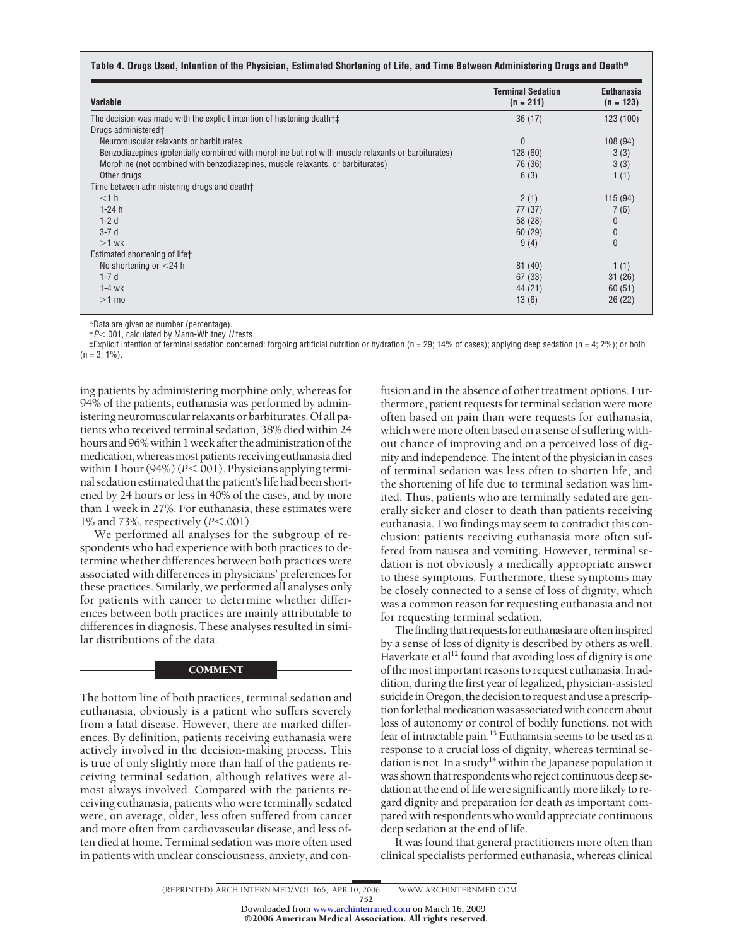| Variable                                                                                           | <b>Terminal Sedation</b><br>$(n = 211)$ | <b>Euthanasia</b><br>$(n = 123)$ |
|----------------------------------------------------------------------------------------------------|-----------------------------------------|----------------------------------|
| The decision was made with the explicit intention of hastening death to                            | 36(17)                                  | 123 (100)                        |
| Drugs administered <sup>+</sup>                                                                    |                                         |                                  |
| Neuromuscular relaxants or barbiturates                                                            | $\mathbf{0}$                            | 108 (94)                         |
| Benzodiazepines (potentially combined with morphine but not with muscle relaxants or barbiturates) | 128(60)                                 | 3(3)                             |
| Morphine (not combined with benzodiazepines, muscle relaxants, or barbiturates)                    | 76 (36)                                 | 3(3)                             |
| Other drugs                                                                                        | 6(3)                                    | 1(1)                             |
| Time between administering drugs and death+                                                        |                                         |                                  |
| $<$ 1 h                                                                                            | 2(1)                                    | 115(94)                          |
| $1-24h$                                                                                            | 77 (37)                                 | 7(6)                             |
| $1-2d$                                                                                             | 58 (28)                                 | $\theta$                         |
| $3-7d$                                                                                             | 60(29)                                  | $\bf{0}$                         |
| $>1$ wk                                                                                            | 9(4)                                    | $\mathbf{0}$                     |
| Estimated shortening of lifet                                                                      |                                         |                                  |
| No shortening or $<$ 24 h                                                                          | 81(40)                                  | 1(1)                             |
| $1-7d$                                                                                             | 67(33)                                  | 31(26)                           |
| $1-4$ wk                                                                                           | 44 (21)                                 | 60(51)                           |
| $>1$ mo                                                                                            | 13(6)                                   | 26(22)                           |

\*Data are given as number (percentage).

†*P*-.001, calculated by Mann-Whitney *U* tests.

 $\pm$ Explicit intention of terminal sedation concerned: forgoing artificial nutrition or hydration (n = 29; 14% of cases); applying deep sedation (n = 4; 2%); or both  $(n = 3; 1\%)$ .

ing patients by administering morphine only, whereas for 94% of the patients, euthanasia was performed by administering neuromuscular relaxants or barbiturates. Of all patients who received terminal sedation, 38% died within 24 hours and 96% within 1 week after the administration of the medication, whereas most patients receiving euthanasia died within 1 hour (94%) (P<.001). Physicians applying terminal sedation estimated that the patient'slife had been shortened by 24 hours or less in 40% of the cases, and by more than 1 week in 27%. For euthanasia, these estimates were 1% and 73%, respectively ( $P < 001$ ).

We performed all analyses for the subgroup of respondents who had experience with both practices to determine whether differences between both practices were associated with differences in physicians' preferences for these practices. Similarly, we performed all analyses only for patients with cancer to determine whether differences between both practices are mainly attributable to differences in diagnosis. These analyses resulted in similar distributions of the data.

#### **COMMENT**

The bottom line of both practices, terminal sedation and euthanasia, obviously is a patient who suffers severely from a fatal disease. However, there are marked differences. By definition, patients receiving euthanasia were actively involved in the decision-making process. This is true of only slightly more than half of the patients receiving terminal sedation, although relatives were almost always involved. Compared with the patients receiving euthanasia, patients who were terminally sedated were, on average, older, less often suffered from cancer and more often from cardiovascular disease, and less often died at home. Terminal sedation was more often used in patients with unclear consciousness, anxiety, and confusion and in the absence of other treatment options. Furthermore, patient requests for terminal sedation were more often based on pain than were requests for euthanasia, which were more often based on a sense of suffering without chance of improving and on a perceived loss of dignity and independence. The intent of the physician in cases of terminal sedation was less often to shorten life, and the shortening of life due to terminal sedation was limited. Thus, patients who are terminally sedated are generally sicker and closer to death than patients receiving euthanasia. Two findings may seem to contradict this conclusion: patients receiving euthanasia more often suffered from nausea and vomiting. However, terminal sedation is not obviously a medically appropriate answer to these symptoms. Furthermore, these symptoms may be closely connected to a sense of loss of dignity, which was a common reason for requesting euthanasia and not for requesting terminal sedation.

The finding that requests for euthanasia are often inspired by a sense of loss of dignity is described by others as well. Haverkate et al<sup>12</sup> found that avoiding loss of dignity is one of themostimportant reasons to request euthanasia. In addition, during the first year of legalized, physician-assisted suicide in Oregon, the decision to request and use a prescription for lethal medication was associated with concern about loss of autonomy or control of bodily functions, not with fear of intractable pain.13 Euthanasia seems to be used as a response to a crucial loss of dignity, whereas terminal sedation is not. In a study<sup>14</sup> within the Japanese population it was shown that respondentswho reject continuous deep sedation at the end of life were significantly more likely to regard dignity and preparation for death as important compared with respondents who would appreciate continuous deep sedation at the end of life.

It was found that general practitioners more often than clinical specialists performed euthanasia, whereas clinical